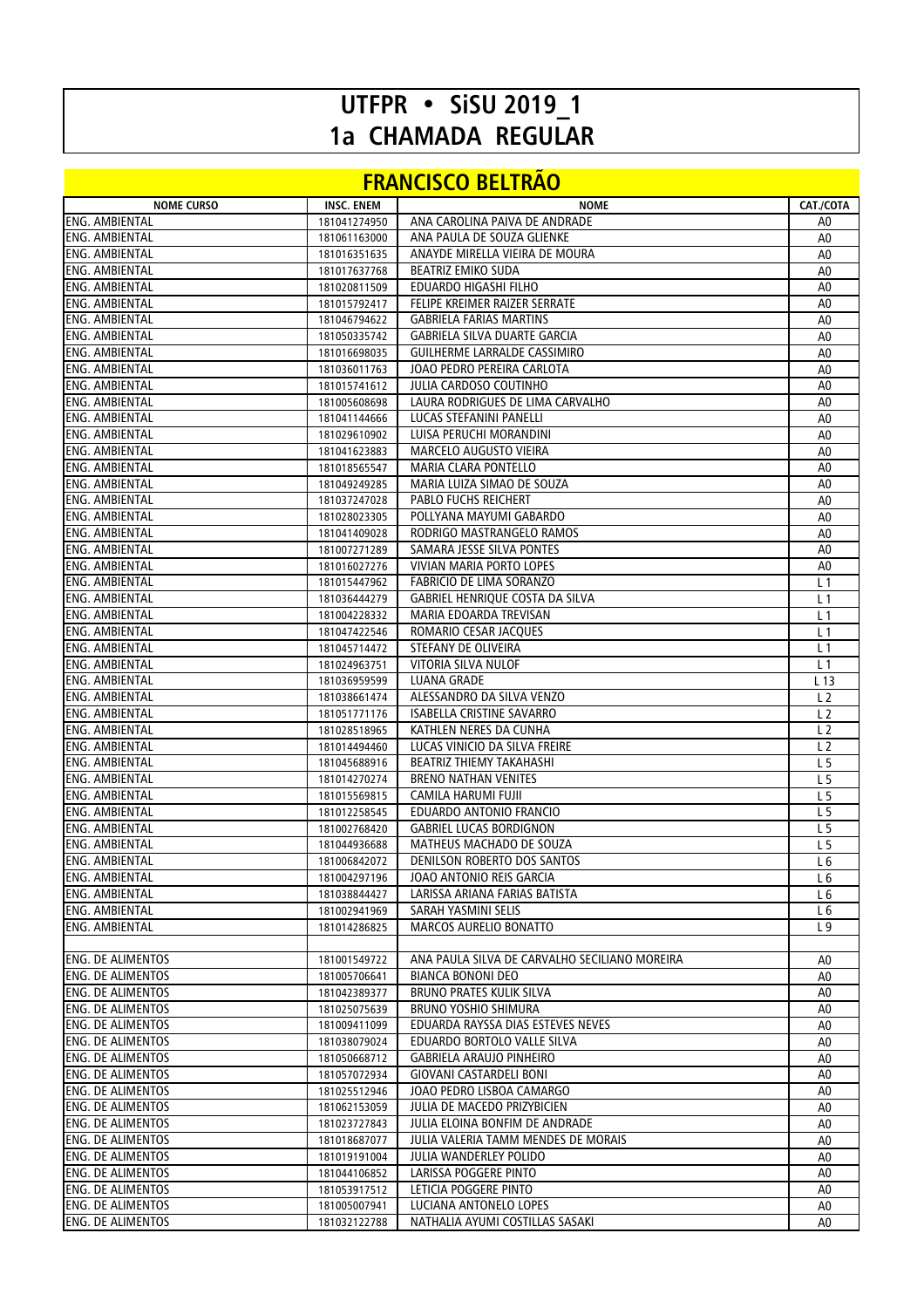## **UTFPR • SiSU 2019\_1 1a CHAMADA REGULAR**

## **FRANCISCO BELTRÃO**

| <b>NOME CURSO</b>        | <b>INSC. ENEM</b> | <b>NOME</b>                                   | CAT./COTA      |
|--------------------------|-------------------|-----------------------------------------------|----------------|
| <b>ENG. AMBIENTAL</b>    | 181041274950      | ANA CAROLINA PAIVA DE ANDRADE                 | A0             |
| <b>ENG. AMBIENTAL</b>    | 181061163000      | ANA PAULA DE SOUZA GLIENKE                    | A0             |
| ENG. AMBIENTAL           | 181016351635      | ANAYDE MIRELLA VIEIRA DE MOURA                | A0             |
| <b>ENG. AMBIENTAL</b>    | 181017637768      | <b>BEATRIZ EMIKO SUDA</b>                     | A0             |
| <b>ENG. AMBIENTAL</b>    | 181020811509      | EDUARDO HIGASHI FILHO                         | A0             |
| <b>ENG. AMBIENTAL</b>    | 181015792417      | FELIPE KREIMER RAIZER SERRATE                 | A0             |
| ENG. AMBIENTAL           | 181046794622      | <b>GABRIELA FARIAS MARTINS</b>                | A0             |
| <b>ENG. AMBIENTAL</b>    | 181050335742      | GABRIELA SILVA DUARTE GARCIA                  | A <sub>0</sub> |
| <b>ENG. AMBIENTAL</b>    | 181016698035      | GUILHERME LARRALDE CASSIMIRO                  | A0             |
| <b>ENG. AMBIENTAL</b>    | 181036011763      | JOAO PEDRO PEREIRA CARLOTA                    | A0             |
| <b>ENG. AMBIENTAL</b>    | 181015741612      | JULIA CARDOSO COUTINHO                        | A0             |
| ENG. AMBIENTAL           | 181005608698      | LAURA RODRIGUES DE LIMA CARVALHO              | A0             |
| <b>ENG. AMBIENTAL</b>    | 181041144666      | LUCAS STEFANINI PANELLI                       | A <sub>0</sub> |
| <b>ENG. AMBIENTAL</b>    | 181029610902      | LUISA PERUCHI MORANDINI                       | A0             |
| <b>ENG. AMBIENTAL</b>    | 181041623883      | MARCELO AUGUSTO VIEIRA                        | A0             |
| <b>ENG. AMBIENTAL</b>    | 181018565547      | MARIA CLARA PONTELLO                          | A0             |
| <b>ENG. AMBIENTAL</b>    |                   | MARIA LUIZA SIMAO DE SOUZA                    |                |
| <b>ENG. AMBIENTAL</b>    | 181049249285      | <b>PABLO FUCHS REICHERT</b>                   | A0             |
|                          | 181037247028      |                                               | A0             |
| ENG. AMBIENTAL           | 181028023305      | POLLYANA MAYUMI GABARDO                       | A0             |
| <b>ENG. AMBIENTAL</b>    | 181041409028      | RODRIGO MASTRANGELO RAMOS                     | A0             |
| <b>ENG. AMBIENTAL</b>    | 181007271289      | SAMARA JESSE SILVA PONTES                     | A <sub>0</sub> |
| <b>ENG. AMBIENTAL</b>    | 181016027276      | VIVIAN MARIA PORTO LOPES                      | A0             |
| ENG. AMBIENTAL           | 181015447962      | FABRICIO DE LIMA SORANZO                      | L <sub>1</sub> |
| <b>ENG. AMBIENTAL</b>    | 181036444279      | GABRIEL HENRIQUE COSTA DA SILVA               | L 1            |
| <b>ENG. AMBIENTAL</b>    | 181004228332      | MARIA EDOARDA TREVISAN                        | L <sub>1</sub> |
| <b>ENG. AMBIENTAL</b>    | 181047422546      | ROMARIO CESAR JACQUES                         | L <sub>1</sub> |
| <b>ENG. AMBIENTAL</b>    | 181045714472      | STEFANY DE OLIVEIRA                           | L <sub>1</sub> |
| ENG. AMBIENTAL           | 181024963751      | VITORIA SILVA NULOF                           | L <sub>1</sub> |
| <b>ENG. AMBIENTAL</b>    | 181036959599      | LUANA GRADE                                   | L 13           |
| <b>ENG. AMBIENTAL</b>    | 181038661474      | ALESSANDRO DA SILVA VENZO                     | L <sub>2</sub> |
| ENG. AMBIENTAL           | 181051771176      | ISABELLA CRISTINE SAVARRO                     | L <sub>2</sub> |
| ENG. AMBIENTAL           | 181028518965      | KATHLEN NERES DA CUNHA                        | L <sub>2</sub> |
| <b>ENG. AMBIENTAL</b>    | 181014494460      | LUCAS VINICIO DA SILVA FREIRE                 | L <sub>2</sub> |
| <b>ENG. AMBIENTAL</b>    | 181045688916      | <b>BEATRIZ THIEMY TAKAHASHI</b>               | L <sub>5</sub> |
| <b>ENG. AMBIENTAL</b>    | 181014270274      | <b>BRENO NATHAN VENITES</b>                   | L 5            |
| <b>ENG. AMBIENTAL</b>    |                   | CAMILA HARUMI FUJII                           | L <sub>5</sub> |
| <b>ENG. AMBIENTAL</b>    | 181015569815      | EDUARDO ANTONIO FRANCIO                       |                |
|                          | 181012258545      |                                               | L <sub>5</sub> |
| <b>ENG. AMBIENTAL</b>    | 181002768420      | <b>GABRIEL LUCAS BORDIGNON</b>                | L <sub>5</sub> |
| <b>ENG. AMBIENTAL</b>    | 181044936688      | MATHEUS MACHADO DE SOUZA                      | L 5            |
| <b>ENG. AMBIENTAL</b>    | 181006842072      | DENILSON ROBERTO DOS SANTOS                   | L 6            |
| ENG. AMBIENTAL           | 181004297196      | JOAO ANTONIO REIS GARCIA                      | L <sub>6</sub> |
| ENG. AMBIENTAL           | 181038844427      | LARISSA ARIANA FARIAS BATISTA                 | L 6            |
| <b>ENG. AMBIENTAL</b>    | 181002941969      | SARAH YASMINI SELIS                           | L <sub>6</sub> |
| ENG. AMBIENTAL           | 181014286825      | <b>MARCOS AURELIO BONATTO</b>                 | L9             |
|                          |                   |                                               |                |
| <b>ENG. DE ALIMENTOS</b> | 181001549722      | ANA PAULA SILVA DE CARVALHO SECILIANO MOREIRA | A0             |
| <b>ENG. DE ALIMENTOS</b> | 181005706641      | <b>BIANCA BONONI DEO</b>                      | A0             |
| <b>ENG. DE ALIMENTOS</b> | 181042389377      | <b>BRUNO PRATES KULIK SILVA</b>               | A0             |
| <b>ENG. DE ALIMENTOS</b> | 181025075639      | BRUNO YOSHIO SHIMURA                          | A0             |
| <b>ENG. DE ALIMENTOS</b> | 181009411099      | EDUARDA RAYSSA DIAS ESTEVES NEVES             | A0             |
| <b>ENG. DE ALIMENTOS</b> | 181038079024      | EDUARDO BORTOLO VALLE SILVA                   | A0             |
| <b>ENG. DE ALIMENTOS</b> | 181050668712      | <b>GABRIELA ARAUJO PINHEIRO</b>               | A0             |
| <b>ENG. DE ALIMENTOS</b> | 181057072934      | GIOVANI CASTARDELI BONI                       | A0             |
| <b>ENG. DE ALIMENTOS</b> | 181025512946      | JOAO PEDRO LISBOA CAMARGO                     | A <sub>0</sub> |
| <b>ENG. DE ALIMENTOS</b> | 181062153059      | JULIA DE MACEDO PRIZYBICIEN                   | A0             |
| <b>ENG. DE ALIMENTOS</b> |                   | JULIA ELOINA BONFIM DE ANDRADE                | A0             |
|                          | 181023727843      |                                               |                |
| <b>ENG. DE ALIMENTOS</b> | 181018687077      | JULIA VALERIA TAMM MENDES DE MORAIS           | A0             |
| <b>ENG. DE ALIMENTOS</b> | 181019191004      | JULIA WANDERLEY POLIDO                        | A0             |
| <b>ENG. DE ALIMENTOS</b> | 181044106852      | LARISSA POGGERE PINTO                         | A0             |
| <b>ENG. DE ALIMENTOS</b> | 181053917512      | LETICIA POGGERE PINTO                         | A0             |
| <b>ENG. DE ALIMENTOS</b> | 181005007941      | LUCIANA ANTONELO LOPES                        | A0             |
| ENG. DE ALIMENTOS        | 181032122788      | NATHALIA AYUMI COSTILLAS SASAKI               | A0             |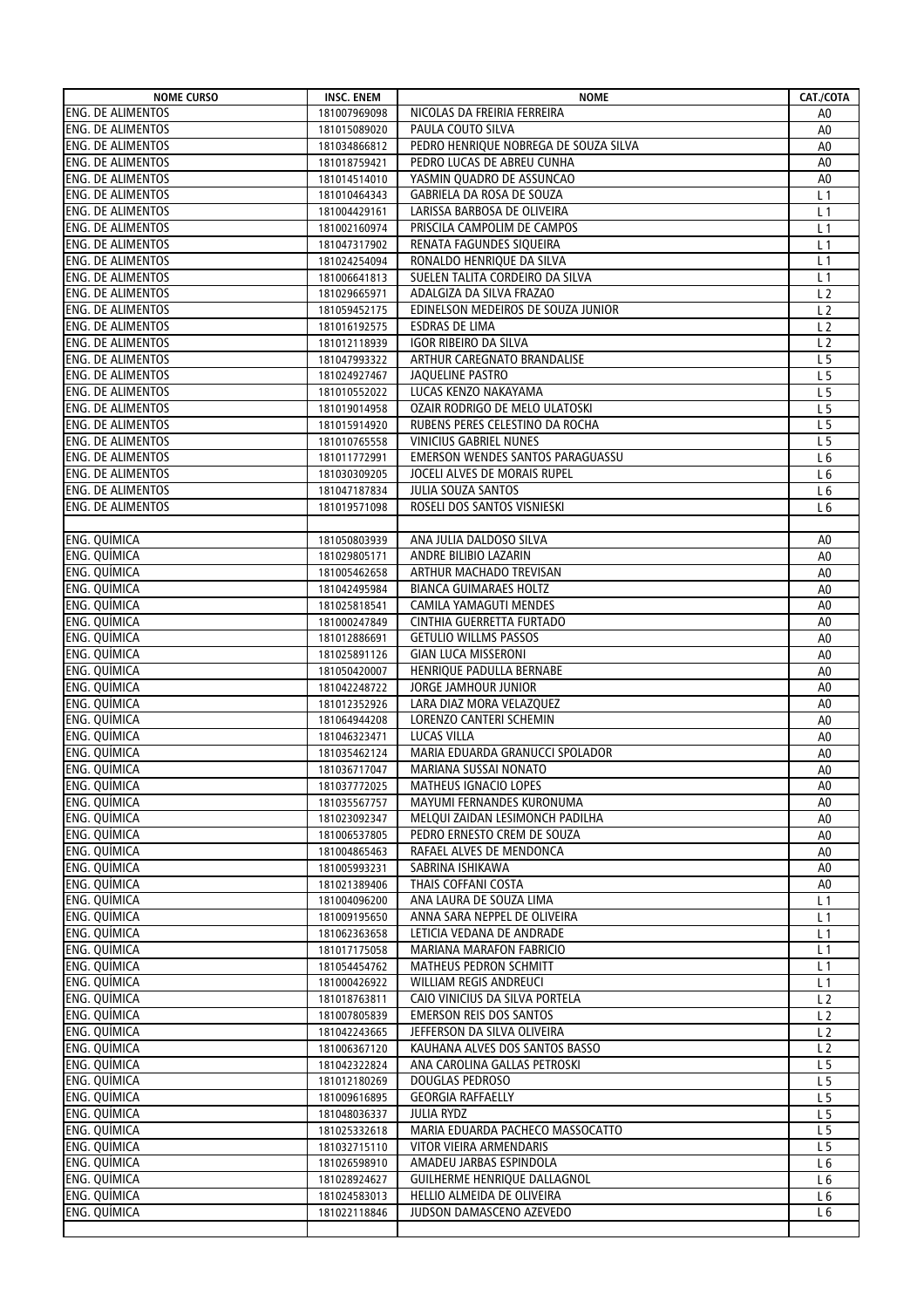| <b>NOME CURSO</b>        | <b>INSC. ENEM</b> | <b>NOME</b>                                         | CAT./COTA      |
|--------------------------|-------------------|-----------------------------------------------------|----------------|
| <b>ENG. DE ALIMENTOS</b> | 181007969098      | NICOLAS DA FREIRIA FERREIRA                         | A0             |
| <b>ENG. DE ALIMENTOS</b> | 181015089020      | PAULA COUTO SILVA                                   | A <sub>0</sub> |
| <b>ENG. DE ALIMENTOS</b> | 181034866812      | PEDRO HENRIQUE NOBREGA DE SOUZA SILVA               | A <sub>0</sub> |
| <b>ENG. DE ALIMENTOS</b> | 181018759421      | PEDRO LUCAS DE ABREU CUNHA                          | A <sub>0</sub> |
| <b>ENG. DE ALIMENTOS</b> | 181014514010      | YASMIN QUADRO DE ASSUNCAO                           | A <sub>0</sub> |
| <b>ENG. DE ALIMENTOS</b> | 181010464343      | GABRIELA DA ROSA DE SOUZA                           | L <sub>1</sub> |
| <b>ENG. DE ALIMENTOS</b> | 181004429161      | LARISSA BARBOSA DE OLIVEIRA                         | L <sub>1</sub> |
| <b>ENG. DE ALIMENTOS</b> | 181002160974      | PRISCILA CAMPOLIM DE CAMPOS                         | L <sub>1</sub> |
| <b>ENG. DE ALIMENTOS</b> | 181047317902      | RENATA FAGUNDES SIQUEIRA                            | L <sub>1</sub> |
| <b>ENG. DE ALIMENTOS</b> | 181024254094      | RONALDO HENRIQUE DA SILVA                           | L <sub>1</sub> |
| <b>ENG. DE ALIMENTOS</b> | 181006641813      | SUELEN TALITA CORDEIRO DA SILVA                     | L <sub>1</sub> |
| <b>ENG. DE ALIMENTOS</b> | 181029665971      | ADALGIZA DA SILVA FRAZAO                            | L <sub>2</sub> |
| <b>ENG. DE ALIMENTOS</b> | 181059452175      | EDINELSON MEDEIROS DE SOUZA JUNIOR                  | L <sub>2</sub> |
| <b>ENG. DE ALIMENTOS</b> | 181016192575      | ESDRAS DE LIMA                                      | L <sub>2</sub> |
| <b>ENG. DE ALIMENTOS</b> | 181012118939      | IGOR RIBEIRO DA SILVA                               | L <sub>2</sub> |
| <b>ENG. DE ALIMENTOS</b> | 181047993322      | ARTHUR CAREGNATO BRANDALISE                         | L <sub>5</sub> |
| <b>ENG. DE ALIMENTOS</b> | 181024927467      | <b>JAQUELINE PASTRO</b>                             | L <sub>5</sub> |
| <b>ENG. DE ALIMENTOS</b> | 181010552022      | LUCAS KENZO NAKAYAMA                                | L <sub>5</sub> |
| <b>ENG. DE ALIMENTOS</b> | 181019014958      | OZAIR RODRIGO DE MELO ULATOSKI                      | L <sub>5</sub> |
| <b>ENG. DE ALIMENTOS</b> | 181015914920      | RUBENS PERES CELESTINO DA ROCHA                     | L <sub>5</sub> |
| <b>ENG. DE ALIMENTOS</b> | 181010765558      | VINICIUS GABRIEL NUNES                              | L <sub>5</sub> |
| <b>ENG. DE ALIMENTOS</b> | 181011772991      | EMERSON WENDES SANTOS PARAGUASSU                    | L <sub>6</sub> |
| <b>ENG. DE ALIMENTOS</b> | 181030309205      | JOCELI ALVES DE MORAIS RUPEL                        | L <sub>6</sub> |
| <b>ENG. DE ALIMENTOS</b> | 181047187834      | JULIA SOUZA SANTOS                                  | L <sub>6</sub> |
| <b>ENG. DE ALIMENTOS</b> | 181019571098      | ROSELI DOS SANTOS VISNIESKI                         | L <sub>6</sub> |
|                          |                   |                                                     |                |
| <b>ENG. QUÍMICA</b>      | 181050803939      | ANA JULIA DALDOSO SILVA                             | A <sub>0</sub> |
| ENG. QUÍMICA             |                   | ANDRE BILIBIO LAZARIN                               | A <sub>0</sub> |
| ENG. QUÍMICA             | 181029805171      | ARTHUR MACHADO TREVISAN                             |                |
| <b>ENG. QUÍMICA</b>      | 181005462658      | <b>BIANCA GUIMARAES HOLTZ</b>                       | A0             |
| ENG. QUÍMICA             | 181042495984      |                                                     | A <sub>0</sub> |
| <b>ENG. QUÍMICA</b>      | 181025818541      | CAMILA YAMAGUTI MENDES<br>CINTHIA GUERRETTA FURTADO | A <sub>0</sub> |
|                          | 181000247849      |                                                     | A <sub>0</sub> |
| ENG. QUIMICA             | 181012886691      | <b>GETULIO WILLMS PASSOS</b>                        | A <sub>0</sub> |
| ENG. QUÍMICA             | 181025891126      | <b>GIAN LUCA MISSERONI</b>                          | A <sub>0</sub> |
| ENG. QUÍMICA             | 181050420007      | HENRIQUE PADULLA BERNABE                            | A <sub>0</sub> |
| <b>ENG. QUÍMICA</b>      | 181042248722      | JORGE JAMHOUR JUNIOR                                | A <sub>0</sub> |
| ENG. QUÍMICA             | 181012352926      | LARA DIAZ MORA VELAZQUEZ                            | A0             |
| ENG. QUÍMICA             | 181064944208      | LORENZO CANTERI SCHEMIN                             | A0             |
| ENG. QUÍMICA             | 181046323471      | LUCAS VILLA                                         | A <sub>0</sub> |
| <b>ENG. QUÍMICA</b>      | 181035462124      | MARIA EDUARDA GRANUCCI SPOLADOR                     | A0             |
| ENG. QUÍMICA             | 181036717047      | MARIANA SUSSAI NONATO                               | A0             |
| ENG. QUÍMICA             | 181037772025      | MATHEUS IGNACIO LOPES                               | $\mathsf{A}0$  |
| ENG. QUÍMICA             | 181035567757      | MAYUMI FERNANDES KURONUMA                           | A0             |
| ENG. QUÍMICA             | 181023092347      | MELQUI ZAIDAN LESIMONCH PADILHA                     | A0             |
| ENG. QUÍMICA             | 181006537805      | PEDRO ERNESTO CREM DE SOUZA                         | A0             |
| ENG. QUÍMICA             | 181004865463      | RAFAEL ALVES DE MENDONCA                            | A <sub>0</sub> |
| ENG. QUÍMICA             | 181005993231      | SABRINA ISHIKAWA                                    | A <sub>0</sub> |
| <b>ENG. QUÍMICA</b>      | 181021389406      | THAIS COFFANI COSTA                                 | A <sub>0</sub> |
| ENG. QUÍMICA             | 181004096200      | ANA LAURA DE SOUZA LIMA                             | L 1            |
| ENG. QUÍMICA             | 181009195650      | ANNA SARA NEPPEL DE OLIVEIRA                        | L 1            |
| ENG. QUÍMICA             | 181062363658      | LETICIA VEDANA DE ANDRADE                           | L1             |
| ENG. QUÍMICA             | 181017175058      | MARIANA MARAFON FABRICIO                            | L <sub>1</sub> |
| ENG. QUÍMICA             | 181054454762      | MATHEUS PEDRON SCHMITT                              | L 1            |
| ENG. QUÍMICA             | 181000426922      | WILLIAM REGIS ANDREUCI                              | L 1            |
| ENG. QUÍMICA             | 181018763811      | CAIO VINICIUS DA SILVA PORTELA                      | L <sub>2</sub> |
| <b>ENG. QUÍMICA</b>      | 181007805839      | <b>EMERSON REIS DOS SANTOS</b>                      | L <sub>2</sub> |
| ENG. QUÍMICA             | 181042243665      | JEFFERSON DA SILVA OLIVEIRA                         | L <sub>2</sub> |
| ENG. QUIMICA             | 181006367120      | KAUHANA ALVES DOS SANTOS BASSO                      | L <sub>2</sub> |
| ENG. QUÍMICA             | 181042322824      | ANA CAROLINA GALLAS PETROSKI                        | L 5            |
| ENG. QUÍMICA             | 181012180269      | DOUGLAS PEDROSO                                     | L <sub>5</sub> |
| ENG. QUÍMICA             | 181009616895      | <b>GEORGIA RAFFAELLY</b>                            | L <sub>5</sub> |
| ENG. QUIMICA             | 181048036337      | JULIA RYDZ                                          | L <sub>5</sub> |
| <b>ENG. QUÍMICA</b>      | 181025332618      | MARIA EDUARDA PACHECO MASSOCATTO                    | L <sub>5</sub> |
| ENG. QUÍMICA             | 181032715110      | VITOR VIEIRA ARMENDARIS                             | L <sub>5</sub> |
| <b>ENG. QUÍMICA</b>      | 181026598910      | AMADEU JARBAS ESPINDOLA                             | L <sub>6</sub> |
| ENG. QUIMICA             | 181028924627      | GUILHERME HENRIQUE DALLAGNOL                        | L 6            |
| ENG. QUIMICA             | 181024583013      | HELLIO ALMEIDA DE OLIVEIRA                          | L 6            |
| <b>ENG. QUÍMICA</b>      | 181022118846      | JUDSON DAMASCENO AZEVEDO                            | L <sub>6</sub> |
|                          |                   |                                                     |                |